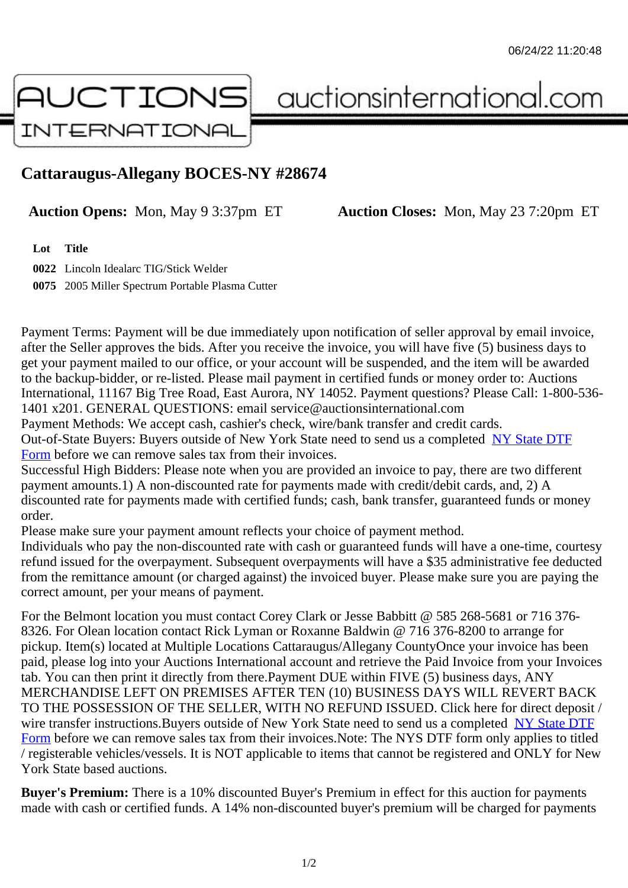## Cattaraugus-Allegany BOCES-NY #28674

Auction Opens: Mon, May 9 3:37pm ET Auction Closes: Mon, May 23 7:20pm ET

Lot Title

0022 Lincoln Idealarc TIG/Stick Welder

0075 2005 Miller Spectrum Portable Plasma Cutter

Payment Terms: Payment will be due immediately upon notification of seller approval by email invoice, after the Seller approves the bids. After you receive the invoice, you will have five (5) business days to get your payment mailed to our office, or your account will be suspended, and the item will be awarded to the backup-bidder, or re-listed. Please mail payment in certified funds or money order to: Auctions International, 11167 Big Tree Road, East Aurora, NY 14052. Payment questions? Please Call: 1-800-53 1401 x201. GENERAL QUESTIONS: email service@auctionsinternational.com

Payment Methods: We accept cash, cashier's check, wire/bank transfer and credit cards. Out-of-State Buyers: Buyers outside of New York State need to send us a com blestate DTF Form before we can remove sales tax from their invoices.

Successful High Bidders: Please note when you are provided an invoice to pay, there are two different payment amounts.1) A non-discounted rate for payments made with credit/de[bit cards, and](https://www.auctionsinternational.com/auxiliary/downloads/DTF_Form/dtf_fill_in.pdf), 2) A [disco](https://www.auctionsinternational.com/auxiliary/downloads/DTF_Form/dtf_fill_in.pdf)unted rate for payments made with certified funds; cash, bank transfer, guaranteed funds or mone order.

Please make sure your payment amount reflects your choice of payment method.

Individuals who pay the non-discounted rate with cash or quaranteed funds will have a one-time, courte refund issued for the overpayment. Subsequent overpayments will have a \$35 administrative fee deduc from the remittance amount (or charged against) the invoiced buyer. Please make sure you are paying correct amount, per your means of payment.

For the Belmont location you must contact Corey Clark or Jesse Babbitt @ 585 268-5681 or 716 376- 8326. For Olean location contact Rick Lyman or Roxanne Baldwin @ 716 376-8200 to arrange for pickup. Item(s) located at Multiple Locations Cattaraugus/Allegany CountyOnce your invoice has been paid, please log into your Auctions International account and retrieve the Paid Invoice from your Invoice tab. You can then print it directly from there.Payment DUE within FIVE (5) business days, ANY MERCHANDISE LEFT ON PREMISES AFTER TEN (10) BUSINESS DAYS WILL REVERT BACK TO THE POSSESSION OF THE SELLER, WITH NO REFUND ISSUED. Click here for direct deposit / wire transfer instructions. Buyers outside of New York State need to send us a completed DTF Form before we can remove sales tax from their invoices.Note: The NYS DTF form only applies to titled / registerable vehicles/vessels. It is NOT applicable to items that cannot be registered and ONLY for New York State based auctions.

[Buye](https://www.auctionsinternational.com/auxiliary/downloads/DTF_Form/dtf_fill_in.pdf)r's Premium: There is a 10% discounted Buyer's Premium in effect for this auction for payments made with cash or certified funds. A 14% non-discounted buyer's premium will be charged for payments